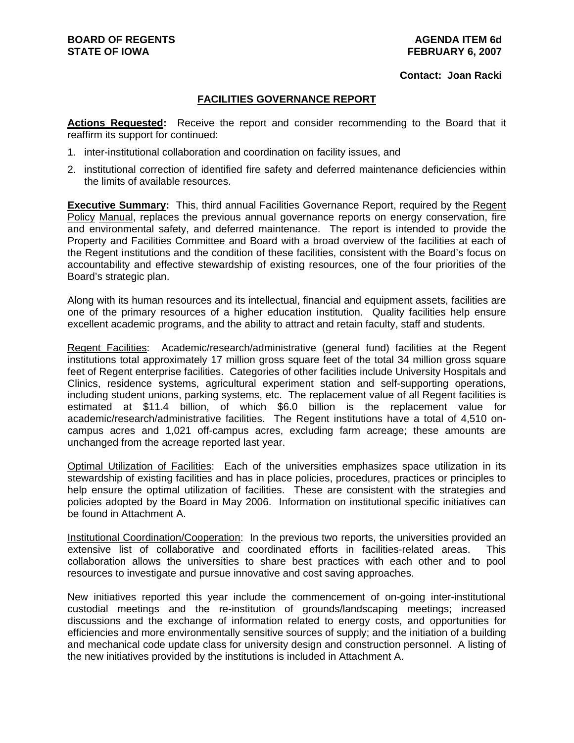#### **Contact: Joan Racki**

### **FACILITIES GOVERNANCE REPORT**

**Actions Requested:** Receive the report and consider recommending to the Board that it reaffirm its support for continued:

- 1. inter-institutional collaboration and coordination on facility issues, and
- 2. institutional correction of identified fire safety and deferred maintenance deficiencies within the limits of available resources.

**Executive Summary:** This, third annual Facilities Governance Report, required by the Regent Policy Manual, replaces the previous annual governance reports on energy conservation, fire and environmental safety, and deferred maintenance. The report is intended to provide the Property and Facilities Committee and Board with a broad overview of the facilities at each of the Regent institutions and the condition of these facilities, consistent with the Board's focus on accountability and effective stewardship of existing resources, one of the four priorities of the Board's strategic plan.

Along with its human resources and its intellectual, financial and equipment assets, facilities are one of the primary resources of a higher education institution. Quality facilities help ensure excellent academic programs, and the ability to attract and retain faculty, staff and students.

Regent Facilities: Academic/research/administrative (general fund) facilities at the Regent institutions total approximately 17 million gross square feet of the total 34 million gross square feet of Regent enterprise facilities. Categories of other facilities include University Hospitals and Clinics, residence systems, agricultural experiment station and self-supporting operations, including student unions, parking systems, etc. The replacement value of all Regent facilities is estimated at \$11.4 billion, of which \$6.0 billion is the replacement value for academic/research/administrative facilities. The Regent institutions have a total of 4,510 oncampus acres and 1,021 off-campus acres, excluding farm acreage; these amounts are unchanged from the acreage reported last year.

Optimal Utilization of Facilities: Each of the universities emphasizes space utilization in its stewardship of existing facilities and has in place policies, procedures, practices or principles to help ensure the optimal utilization of facilities. These are consistent with the strategies and policies adopted by the Board in May 2006. Information on institutional specific initiatives can be found in Attachment A.

Institutional Coordination/Cooperation: In the previous two reports, the universities provided an extensive list of collaborative and coordinated efforts in facilities-related areas. This collaboration allows the universities to share best practices with each other and to pool resources to investigate and pursue innovative and cost saving approaches.

New initiatives reported this year include the commencement of on-going inter-institutional custodial meetings and the re-institution of grounds/landscaping meetings; increased discussions and the exchange of information related to energy costs, and opportunities for efficiencies and more environmentally sensitive sources of supply; and the initiation of a building and mechanical code update class for university design and construction personnel. A listing of the new initiatives provided by the institutions is included in Attachment A.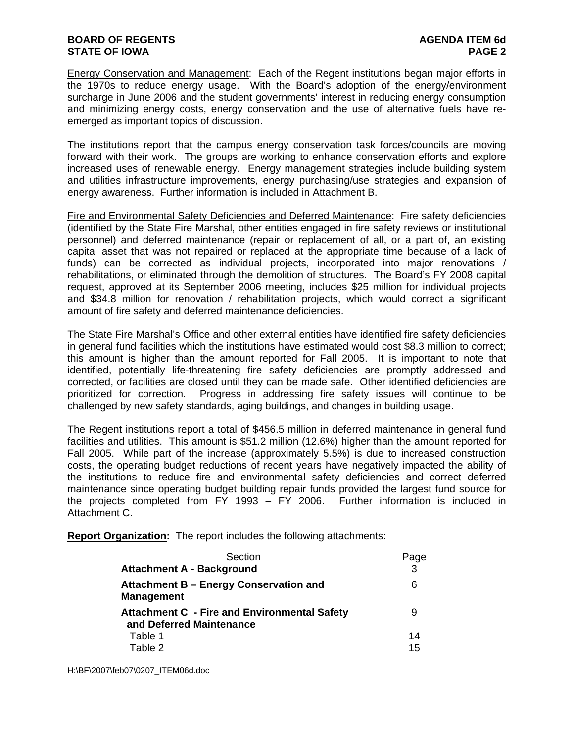# **BOARD OF REGENTS AGENUS AGENDA ITEM 6d STATE OF IOWA** PAGE 2

Energy Conservation and Management: Each of the Regent institutions began major efforts in the 1970s to reduce energy usage. With the Board's adoption of the energy/environment surcharge in June 2006 and the student governments' interest in reducing energy consumption and minimizing energy costs, energy conservation and the use of alternative fuels have reemerged as important topics of discussion.

The institutions report that the campus energy conservation task forces/councils are moving forward with their work. The groups are working to enhance conservation efforts and explore increased uses of renewable energy. Energy management strategies include building system and utilities infrastructure improvements, energy purchasing/use strategies and expansion of energy awareness. Further information is included in Attachment B.

Fire and Environmental Safety Deficiencies and Deferred Maintenance: Fire safety deficiencies (identified by the State Fire Marshal, other entities engaged in fire safety reviews or institutional personnel) and deferred maintenance (repair or replacement of all, or a part of, an existing capital asset that was not repaired or replaced at the appropriate time because of a lack of funds) can be corrected as individual projects, incorporated into major renovations / rehabilitations, or eliminated through the demolition of structures. The Board's FY 2008 capital request, approved at its September 2006 meeting, includes \$25 million for individual projects and \$34.8 million for renovation / rehabilitation projects, which would correct a significant amount of fire safety and deferred maintenance deficiencies.

The State Fire Marshal's Office and other external entities have identified fire safety deficiencies in general fund facilities which the institutions have estimated would cost \$8.3 million to correct; this amount is higher than the amount reported for Fall 2005. It is important to note that identified, potentially life-threatening fire safety deficiencies are promptly addressed and corrected, or facilities are closed until they can be made safe. Other identified deficiencies are prioritized for correction. Progress in addressing fire safety issues will continue to be challenged by new safety standards, aging buildings, and changes in building usage.

The Regent institutions report a total of \$456.5 million in deferred maintenance in general fund facilities and utilities. This amount is \$51.2 million (12.6%) higher than the amount reported for Fall 2005. While part of the increase (approximately 5.5%) is due to increased construction costs, the operating budget reductions of recent years have negatively impacted the ability of the institutions to reduce fire and environmental safety deficiencies and correct deferred maintenance since operating budget building repair funds provided the largest fund source for the projects completed from FY 1993 – FY 2006. Further information is included in Attachment C.

**Report Organization:** The report includes the following attachments:

| Section                                                     |    |
|-------------------------------------------------------------|----|
| <b>Attachment A - Background</b>                            | 3  |
| Attachment B - Energy Conservation and<br><b>Management</b> | 6  |
| <b>Attachment C - Fire and Environmental Safety</b>         | 9  |
| and Deferred Maintenance                                    |    |
| Table 1                                                     | 14 |
| Table 2                                                     | 15 |

H:\BF\2007\feb07\0207\_ITEM06d.doc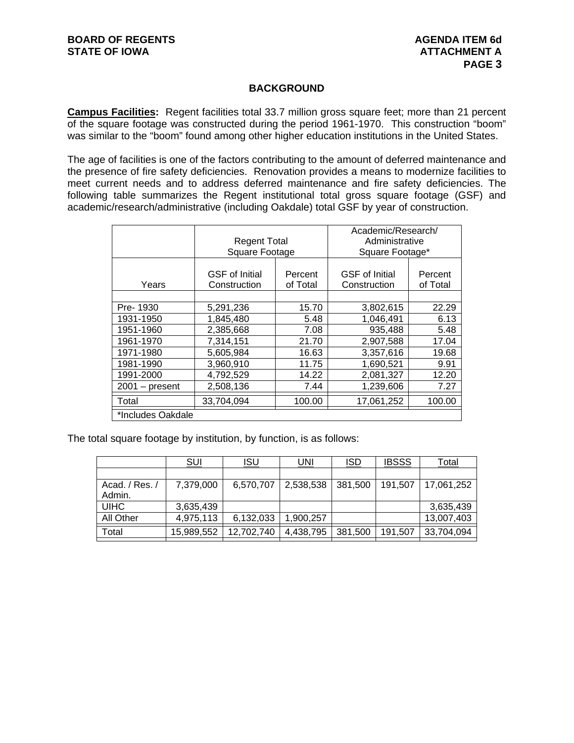# **BACKGROUND**

**Campus Facilities:** Regent facilities total 33.7 million gross square feet; more than 21 percent of the square footage was constructed during the period 1961-1970. This construction "boom" was similar to the "boom" found among other higher education institutions in the United States.

The age of facilities is one of the factors contributing to the amount of deferred maintenance and the presence of fire safety deficiencies. Renovation provides a means to modernize facilities to meet current needs and to address deferred maintenance and fire safety deficiencies. The following table summarizes the Regent institutional total gross square footage (GSF) and academic/research/administrative (including Oakdale) total GSF by year of construction.

|                   | <b>Regent Total</b><br>Square Footage |                     | Academic/Research/<br>Administrative<br>Square Footage* |                     |  |  |  |  |  |  |  |
|-------------------|---------------------------------------|---------------------|---------------------------------------------------------|---------------------|--|--|--|--|--|--|--|
|                   |                                       |                     |                                                         |                     |  |  |  |  |  |  |  |
| Years             | <b>GSF</b> of Initial<br>Construction | Percent<br>of Total | <b>GSF</b> of Initial<br>Construction                   | Percent<br>of Total |  |  |  |  |  |  |  |
|                   |                                       |                     |                                                         |                     |  |  |  |  |  |  |  |
| Pre-1930          | 5,291,236                             | 15.70               | 3,802,615                                               | 22.29               |  |  |  |  |  |  |  |
| 1931-1950         | 1,845,480                             | 5.48                | 1,046,491                                               | 6.13                |  |  |  |  |  |  |  |
| 1951-1960         | 2,385,668                             | 7.08                | 935,488                                                 | 5.48                |  |  |  |  |  |  |  |
| 1961-1970         | 7,314,151                             | 21.70               | 2,907,588                                               | 17.04               |  |  |  |  |  |  |  |
| 1971-1980         | 5,605,984                             | 16.63               | 3,357,616                                               | 19.68               |  |  |  |  |  |  |  |
| 1981-1990         | 3,960,910                             | 11.75               | 1,690,521                                               | 9.91                |  |  |  |  |  |  |  |
| 1991-2000         | 4,792,529                             | 14.22               | 2,081,327                                               | 12.20               |  |  |  |  |  |  |  |
| $2001 - present$  | 2,508,136                             | 7.44                | 1,239,606                                               | 7.27                |  |  |  |  |  |  |  |
| Total             | 33,704,094                            | 100.00              | 17,061,252                                              | 100.00              |  |  |  |  |  |  |  |
| *Includes Oakdale |                                       |                     |                                                         |                     |  |  |  |  |  |  |  |

The total square footage by institution, by function, is as follows:

|                | <u>SUI</u> | <u>ISU</u> | <u>UNI</u> | <u>ISD</u> | <b>IBSSS</b> | <u>Total</u> |
|----------------|------------|------------|------------|------------|--------------|--------------|
|                |            |            |            |            |              |              |
| Acad. / Res. / | 7,379,000  | 6,570,707  | 2,538,538  | 381,500    | 191,507      | 17,061,252   |
| Admin.         |            |            |            |            |              |              |
| <b>UIHC</b>    | 3,635,439  |            |            |            |              | 3,635,439    |
| All Other      | 4,975,113  | 6,132,033  | 1,900,257  |            |              | 13,007,403   |
| Total          | 15,989,552 | 12,702,740 | 4,438,795  | 381,500    | 191,507      | 33,704,094   |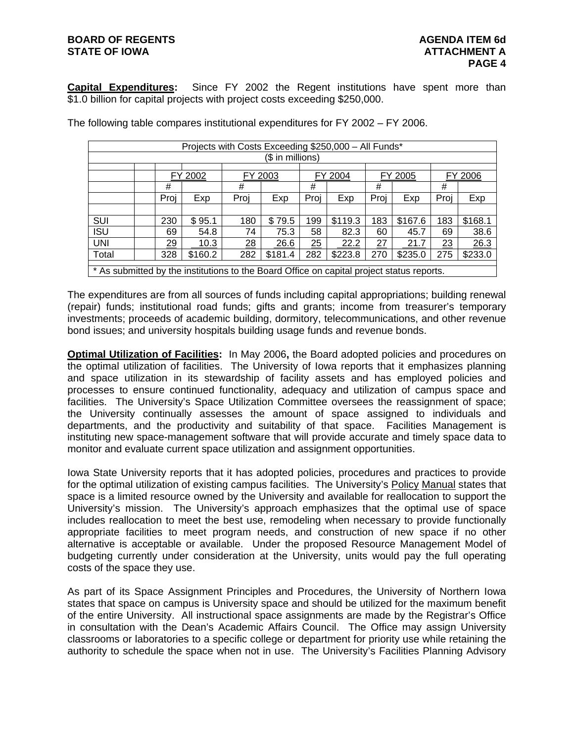# **BOARD OF REGENTS AGENUS AGENDA ITEM 6d STATE OF IOWA ATTACHMENT A**

**Capital Expenditures:** Since FY 2002 the Regent institutions have spent more than \$1.0 billion for capital projects with project costs exceeding \$250,000.

| Projects with Costs Exceeding \$250,000 - All Funds*                                      |  |      |                                                                      |      |         |                                |         |                |         |         |         |  |  |
|-------------------------------------------------------------------------------------------|--|------|----------------------------------------------------------------------|------|---------|--------------------------------|---------|----------------|---------|---------|---------|--|--|
| (\$ in millions)                                                                          |  |      |                                                                      |      |         |                                |         |                |         |         |         |  |  |
|                                                                                           |  |      |                                                                      |      |         |                                |         |                |         |         |         |  |  |
|                                                                                           |  |      | FY 2002                                                              |      | FY 2003 |                                | FY 2004 |                | FY 2005 | FY 2006 |         |  |  |
|                                                                                           |  | #    |                                                                      | #    |         | #                              |         | #              |         | #       |         |  |  |
|                                                                                           |  | Proj | Exp                                                                  | Proj | Exp     | Proi                           | Exp     | Exp<br>Proi    |         | Proi    | Exp     |  |  |
|                                                                                           |  |      |                                                                      |      |         |                                |         |                |         |         |         |  |  |
| SUI                                                                                       |  | 230  | \$95.1                                                               | 180  | \$79.5  |                                | \$119.3 | \$167.6<br>183 |         | 183     | \$168.1 |  |  |
| <b>ISU</b>                                                                                |  | 69   | 54.8                                                                 | 74   | 75.3    | 58<br>82.3<br>60<br>45.7<br>69 |         |                |         |         | 38.6    |  |  |
| <b>UNI</b>                                                                                |  | 29   | 10.3                                                                 | 28   | 26.6    | 25                             | 22.2    | 27             | 21.7    | 23      | 26.3    |  |  |
| Total                                                                                     |  | 328  | \$181.4<br>\$223.8<br>\$160.2<br>282<br>282<br>270<br>\$235.0<br>275 |      |         |                                |         |                |         |         | \$233.0 |  |  |
| * As submitted by the institutions to the Board Office on capital project status reports. |  |      |                                                                      |      |         |                                |         |                |         |         |         |  |  |

The following table compares institutional expenditures for FY 2002 – FY 2006.

The expenditures are from all sources of funds including capital appropriations; building renewal (repair) funds; institutional road funds; gifts and grants; income from treasurer's temporary investments; proceeds of academic building, dormitory, telecommunications, and other revenue bond issues; and university hospitals building usage funds and revenue bonds.

**Optimal Utilization of Facilities:** In May 2006**,** the Board adopted policies and procedures on the optimal utilization of facilities. The University of Iowa reports that it emphasizes planning and space utilization in its stewardship of facility assets and has employed policies and processes to ensure continued functionality, adequacy and utilization of campus space and facilities. The University's Space Utilization Committee oversees the reassignment of space; the University continually assesses the amount of space assigned to individuals and departments, and the productivity and suitability of that space. Facilities Management is instituting new space-management software that will provide accurate and timely space data to monitor and evaluate current space utilization and assignment opportunities.

Iowa State University reports that it has adopted policies, procedures and practices to provide for the optimal utilization of existing campus facilities. The University's Policy Manual states that space is a limited resource owned by the University and available for reallocation to support the University's mission. The University's approach emphasizes that the optimal use of space includes reallocation to meet the best use, remodeling when necessary to provide functionally appropriate facilities to meet program needs, and construction of new space if no other alternative is acceptable or available. Under the proposed Resource Management Model of budgeting currently under consideration at the University, units would pay the full operating costs of the space they use.

As part of its Space Assignment Principles and Procedures, the University of Northern Iowa states that space on campus is University space and should be utilized for the maximum benefit of the entire University. All instructional space assignments are made by the Registrar's Office in consultation with the Dean's Academic Affairs Council. The Office may assign University classrooms or laboratories to a specific college or department for priority use while retaining the authority to schedule the space when not in use. The University's Facilities Planning Advisory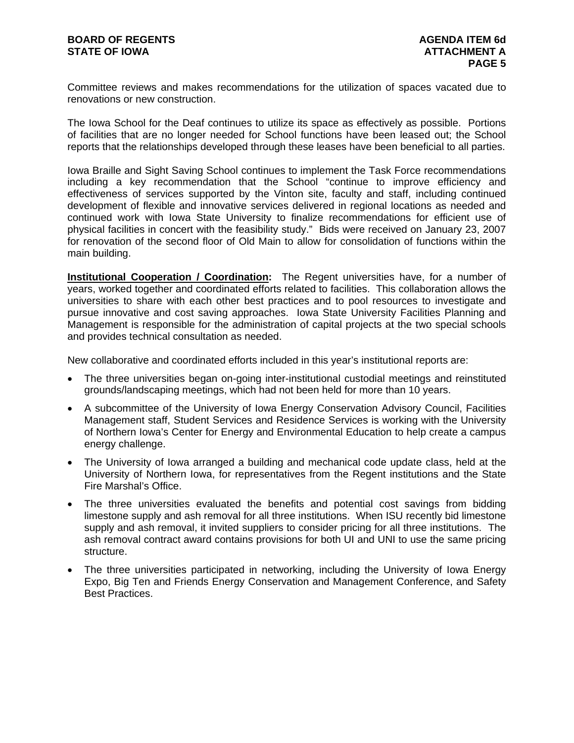Committee reviews and makes recommendations for the utilization of spaces vacated due to renovations or new construction.

The Iowa School for the Deaf continues to utilize its space as effectively as possible. Portions of facilities that are no longer needed for School functions have been leased out; the School reports that the relationships developed through these leases have been beneficial to all parties.

Iowa Braille and Sight Saving School continues to implement the Task Force recommendations including a key recommendation that the School "continue to improve efficiency and effectiveness of services supported by the Vinton site, faculty and staff, including continued development of flexible and innovative services delivered in regional locations as needed and continued work with Iowa State University to finalize recommendations for efficient use of physical facilities in concert with the feasibility study." Bids were received on January 23, 2007 for renovation of the second floor of Old Main to allow for consolidation of functions within the main building.

**Institutional Cooperation / Coordination:** The Regent universities have, for a number of years, worked together and coordinated efforts related to facilities. This collaboration allows the universities to share with each other best practices and to pool resources to investigate and pursue innovative and cost saving approaches. Iowa State University Facilities Planning and Management is responsible for the administration of capital projects at the two special schools and provides technical consultation as needed.

New collaborative and coordinated efforts included in this year's institutional reports are:

- The three universities began on-going inter-institutional custodial meetings and reinstituted grounds/landscaping meetings, which had not been held for more than 10 years.
- A subcommittee of the University of Iowa Energy Conservation Advisory Council, Facilities Management staff, Student Services and Residence Services is working with the University of Northern Iowa's Center for Energy and Environmental Education to help create a campus energy challenge.
- The University of Iowa arranged a building and mechanical code update class, held at the University of Northern Iowa, for representatives from the Regent institutions and the State Fire Marshal's Office.
- The three universities evaluated the benefits and potential cost savings from bidding limestone supply and ash removal for all three institutions. When ISU recently bid limestone supply and ash removal, it invited suppliers to consider pricing for all three institutions. The ash removal contract award contains provisions for both UI and UNI to use the same pricing structure.
- The three universities participated in networking, including the University of Iowa Energy Expo, Big Ten and Friends Energy Conservation and Management Conference, and Safety Best Practices.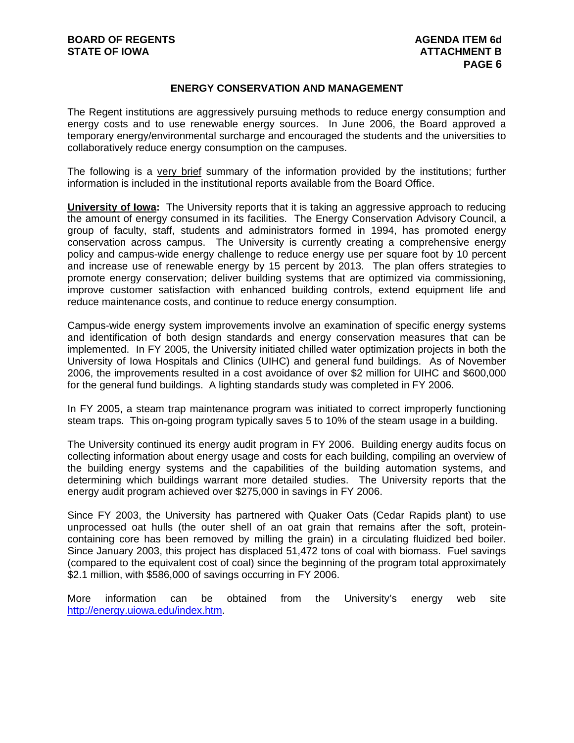# **ENERGY CONSERVATION AND MANAGEMENT**

The Regent institutions are aggressively pursuing methods to reduce energy consumption and energy costs and to use renewable energy sources. In June 2006, the Board approved a temporary energy/environmental surcharge and encouraged the students and the universities to collaboratively reduce energy consumption on the campuses.

The following is a very brief summary of the information provided by the institutions; further information is included in the institutional reports available from the Board Office.

**University of Iowa:** The University reports that it is taking an aggressive approach to reducing the amount of energy consumed in its facilities. The Energy Conservation Advisory Council, a group of faculty, staff, students and administrators formed in 1994, has promoted energy conservation across campus. The University is currently creating a comprehensive energy policy and campus-wide energy challenge to reduce energy use per square foot by 10 percent and increase use of renewable energy by 15 percent by 2013. The plan offers strategies to promote energy conservation; deliver building systems that are optimized via commissioning, improve customer satisfaction with enhanced building controls, extend equipment life and reduce maintenance costs, and continue to reduce energy consumption.

Campus-wide energy system improvements involve an examination of specific energy systems and identification of both design standards and energy conservation measures that can be implemented. In FY 2005, the University initiated chilled water optimization projects in both the University of Iowa Hospitals and Clinics (UIHC) and general fund buildings. As of November 2006, the improvements resulted in a cost avoidance of over \$2 million for UIHC and \$600,000 for the general fund buildings. A lighting standards study was completed in FY 2006.

In FY 2005, a steam trap maintenance program was initiated to correct improperly functioning steam traps. This on-going program typically saves 5 to 10% of the steam usage in a building.

The University continued its energy audit program in FY 2006. Building energy audits focus on collecting information about energy usage and costs for each building, compiling an overview of the building energy systems and the capabilities of the building automation systems, and determining which buildings warrant more detailed studies. The University reports that the energy audit program achieved over \$275,000 in savings in FY 2006.

Since FY 2003, the University has partnered with Quaker Oats (Cedar Rapids plant) to use unprocessed oat hulls (the outer shell of an oat grain that remains after the soft, proteincontaining core has been removed by milling the grain) in a circulating fluidized bed boiler. Since January 2003, this project has displaced 51,472 tons of coal with biomass. Fuel savings (compared to the equivalent cost of coal) since the beginning of the program total approximately \$2.1 million, with \$586,000 of savings occurring in FY 2006.

More information can be obtained from the University's energy web site http://energy.uiowa.edu/index.htm.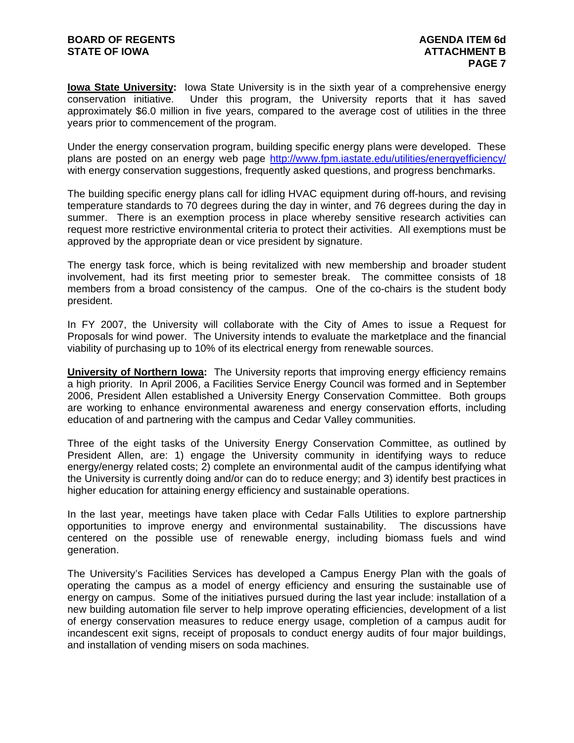**Iowa State University:** Iowa State University is in the sixth year of a comprehensive energy conservation initiative. Under this program, the University reports that it has saved approximately \$6.0 million in five years, compared to the average cost of utilities in the three years prior to commencement of the program.

Under the energy conservation program, building specific energy plans were developed. These plans are posted on an energy web page http://www.fpm.iastate.edu/utilities/energyefficiency/ with energy conservation suggestions, frequently asked questions, and progress benchmarks.

The building specific energy plans call for idling HVAC equipment during off-hours, and revising temperature standards to 70 degrees during the day in winter, and 76 degrees during the day in summer. There is an exemption process in place whereby sensitive research activities can request more restrictive environmental criteria to protect their activities. All exemptions must be approved by the appropriate dean or vice president by signature.

The energy task force, which is being revitalized with new membership and broader student involvement, had its first meeting prior to semester break. The committee consists of 18 members from a broad consistency of the campus. One of the co-chairs is the student body president.

In FY 2007, the University will collaborate with the City of Ames to issue a Request for Proposals for wind power. The University intends to evaluate the marketplace and the financial viability of purchasing up to 10% of its electrical energy from renewable sources.

**University of Northern Iowa:** The University reports that improving energy efficiency remains a high priority. In April 2006, a Facilities Service Energy Council was formed and in September 2006, President Allen established a University Energy Conservation Committee. Both groups are working to enhance environmental awareness and energy conservation efforts, including education of and partnering with the campus and Cedar Valley communities.

Three of the eight tasks of the University Energy Conservation Committee, as outlined by President Allen, are: 1) engage the University community in identifying ways to reduce energy/energy related costs; 2) complete an environmental audit of the campus identifying what the University is currently doing and/or can do to reduce energy; and 3) identify best practices in higher education for attaining energy efficiency and sustainable operations.

In the last year, meetings have taken place with Cedar Falls Utilities to explore partnership opportunities to improve energy and environmental sustainability. The discussions have centered on the possible use of renewable energy, including biomass fuels and wind generation.

The University's Facilities Services has developed a Campus Energy Plan with the goals of operating the campus as a model of energy efficiency and ensuring the sustainable use of energy on campus. Some of the initiatives pursued during the last year include: installation of a new building automation file server to help improve operating efficiencies, development of a list of energy conservation measures to reduce energy usage, completion of a campus audit for incandescent exit signs, receipt of proposals to conduct energy audits of four major buildings, and installation of vending misers on soda machines.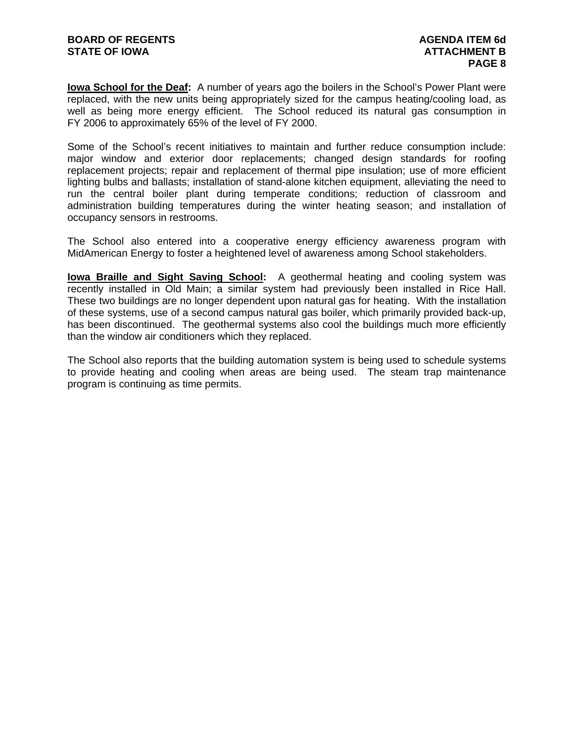**Iowa School for the Deaf:** A number of years ago the boilers in the School's Power Plant were replaced, with the new units being appropriately sized for the campus heating/cooling load, as well as being more energy efficient. The School reduced its natural gas consumption in FY 2006 to approximately 65% of the level of FY 2000.

Some of the School's recent initiatives to maintain and further reduce consumption include: major window and exterior door replacements; changed design standards for roofing replacement projects; repair and replacement of thermal pipe insulation; use of more efficient lighting bulbs and ballasts; installation of stand-alone kitchen equipment, alleviating the need to run the central boiler plant during temperate conditions; reduction of classroom and administration building temperatures during the winter heating season; and installation of occupancy sensors in restrooms.

The School also entered into a cooperative energy efficiency awareness program with MidAmerican Energy to foster a heightened level of awareness among School stakeholders.

**Iowa Braille and Sight Saving School:** A geothermal heating and cooling system was recently installed in Old Main; a similar system had previously been installed in Rice Hall. These two buildings are no longer dependent upon natural gas for heating. With the installation of these systems, use of a second campus natural gas boiler, which primarily provided back-up, has been discontinued. The geothermal systems also cool the buildings much more efficiently than the window air conditioners which they replaced.

The School also reports that the building automation system is being used to schedule systems to provide heating and cooling when areas are being used. The steam trap maintenance program is continuing as time permits.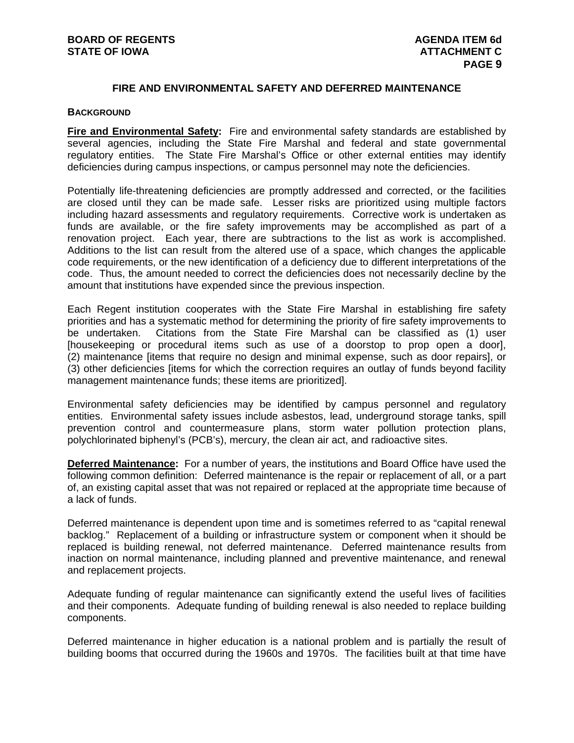# **FIRE AND ENVIRONMENTAL SAFETY AND DEFERRED MAINTENANCE**

#### **BACKGROUND**

**Fire and Environmental Safety:** Fire and environmental safety standards are established by several agencies, including the State Fire Marshal and federal and state governmental regulatory entities. The State Fire Marshal's Office or other external entities may identify deficiencies during campus inspections, or campus personnel may note the deficiencies.

Potentially life-threatening deficiencies are promptly addressed and corrected, or the facilities are closed until they can be made safe. Lesser risks are prioritized using multiple factors including hazard assessments and regulatory requirements. Corrective work is undertaken as funds are available, or the fire safety improvements may be accomplished as part of a renovation project. Each year, there are subtractions to the list as work is accomplished. Additions to the list can result from the altered use of a space, which changes the applicable code requirements, or the new identification of a deficiency due to different interpretations of the code. Thus, the amount needed to correct the deficiencies does not necessarily decline by the amount that institutions have expended since the previous inspection.

Each Regent institution cooperates with the State Fire Marshal in establishing fire safety priorities and has a systematic method for determining the priority of fire safety improvements to be undertaken. Citations from the State Fire Marshal can be classified as (1) user [housekeeping or procedural items such as use of a doorstop to prop open a door], (2) maintenance [items that require no design and minimal expense, such as door repairs], or (3) other deficiencies [items for which the correction requires an outlay of funds beyond facility management maintenance funds; these items are prioritized].

Environmental safety deficiencies may be identified by campus personnel and regulatory entities. Environmental safety issues include asbestos, lead, underground storage tanks, spill prevention control and countermeasure plans, storm water pollution protection plans, polychlorinated biphenyl's (PCB's), mercury, the clean air act, and radioactive sites.

**Deferred Maintenance:** For a number of years, the institutions and Board Office have used the following common definition: Deferred maintenance is the repair or replacement of all, or a part of, an existing capital asset that was not repaired or replaced at the appropriate time because of a lack of funds.

Deferred maintenance is dependent upon time and is sometimes referred to as "capital renewal backlog." Replacement of a building or infrastructure system or component when it should be replaced is building renewal, not deferred maintenance. Deferred maintenance results from inaction on normal maintenance, including planned and preventive maintenance, and renewal and replacement projects.

Adequate funding of regular maintenance can significantly extend the useful lives of facilities and their components. Adequate funding of building renewal is also needed to replace building components.

Deferred maintenance in higher education is a national problem and is partially the result of building booms that occurred during the 1960s and 1970s. The facilities built at that time have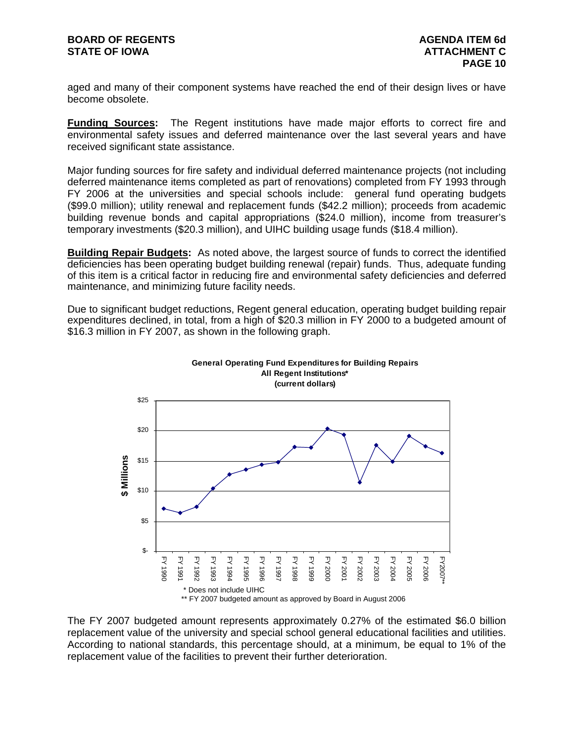aged and many of their component systems have reached the end of their design lives or have become obsolete.

**Funding Sources:** The Regent institutions have made major efforts to correct fire and environmental safety issues and deferred maintenance over the last several years and have received significant state assistance.

Major funding sources for fire safety and individual deferred maintenance projects (not including deferred maintenance items completed as part of renovations) completed from FY 1993 through FY 2006 at the universities and special schools include: general fund operating budgets (\$99.0 million); utility renewal and replacement funds (\$42.2 million); proceeds from academic building revenue bonds and capital appropriations (\$24.0 million), income from treasurer's temporary investments (\$20.3 million), and UIHC building usage funds (\$18.4 million).

**Building Repair Budgets:** As noted above, the largest source of funds to correct the identified deficiencies has been operating budget building renewal (repair) funds. Thus, adequate funding of this item is a critical factor in reducing fire and environmental safety deficiencies and deferred maintenance, and minimizing future facility needs.

Due to significant budget reductions, Regent general education, operating budget building repair expenditures declined, in total, from a high of \$20.3 million in FY 2000 to a budgeted amount of \$16.3 million in FY 2007, as shown in the following graph.



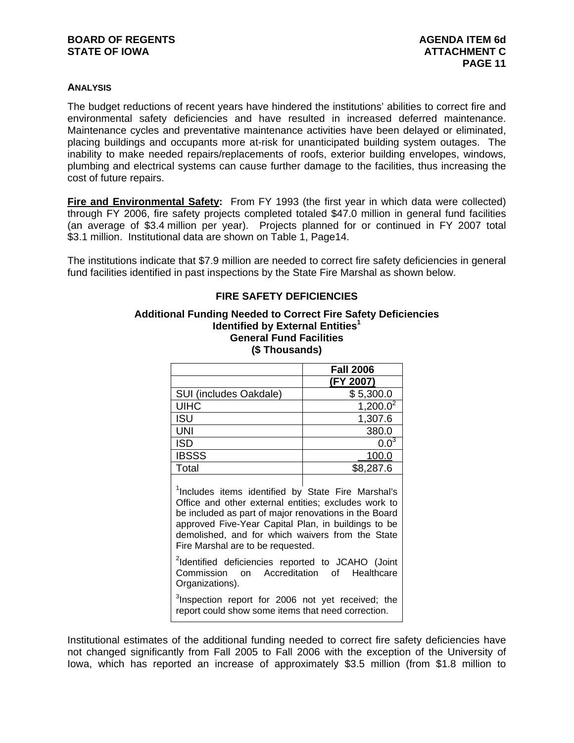## **ANALYSIS**

The budget reductions of recent years have hindered the institutions' abilities to correct fire and environmental safety deficiencies and have resulted in increased deferred maintenance. Maintenance cycles and preventative maintenance activities have been delayed or eliminated, placing buildings and occupants more at-risk for unanticipated building system outages. The inability to make needed repairs/replacements of roofs, exterior building envelopes, windows, plumbing and electrical systems can cause further damage to the facilities, thus increasing the cost of future repairs.

**Fire and Environmental Safety:** From FY 1993 (the first year in which data were collected) through FY 2006, fire safety projects completed totaled \$47.0 million in general fund facilities (an average of \$3.4 million per year). Projects planned for or continued in FY 2007 total \$3.1 million. Institutional data are shown on Table 1, Page14.

The institutions indicate that \$7.9 million are needed to correct fire safety deficiencies in general fund facilities identified in past inspections by the State Fire Marshal as shown below.

# **FIRE SAFETY DEFICIENCIES**

### **Additional Funding Needed to Correct Fire Safety Deficiencies Identified by External Entities<sup>1</sup> General Fund Facilities (\$ Thousands)**

|                                                                      | <b>Fall 2006</b>             |
|----------------------------------------------------------------------|------------------------------|
|                                                                      | (FY 2007)                    |
| SUI (includes Oakdale)                                               | \$5,300.0                    |
| <b>UIHC</b>                                                          | $1,200.0^2$                  |
| <b>ISU</b>                                                           | 1,307.6                      |
| <b>UNI</b>                                                           | 380.0                        |
| <b>ISD</b>                                                           | $0.0^{3}$                    |
| <b>IBSSS</b>                                                         | 100.0                        |
| Total                                                                | \$8,287.6                    |
| والمنازل المتابع فالأقام ويتعاطف والمتحدث والمتحدث والمتحدث والمتحدث | $O(1 - 1 - 1)$<br>$M = 0.01$ |

<sup>1</sup>Includes items identified by State Fire Marshal's Office and other external entities; excludes work to be included as part of major renovations in the Board approved Five-Year Capital Plan, in buildings to be demolished, and for which waivers from the State Fire Marshal are to be requested.

<sup>2</sup>Identified deficiencies reported to JCAHO (Joint Commission on Accreditation of Healthcare Organizations).

<sup>3</sup>Inspection report for 2006 not yet received; the report could show some items that need correction.

Institutional estimates of the additional funding needed to correct fire safety deficiencies have not changed significantly from Fall 2005 to Fall 2006 with the exception of the University of Iowa, which has reported an increase of approximately \$3.5 million (from \$1.8 million to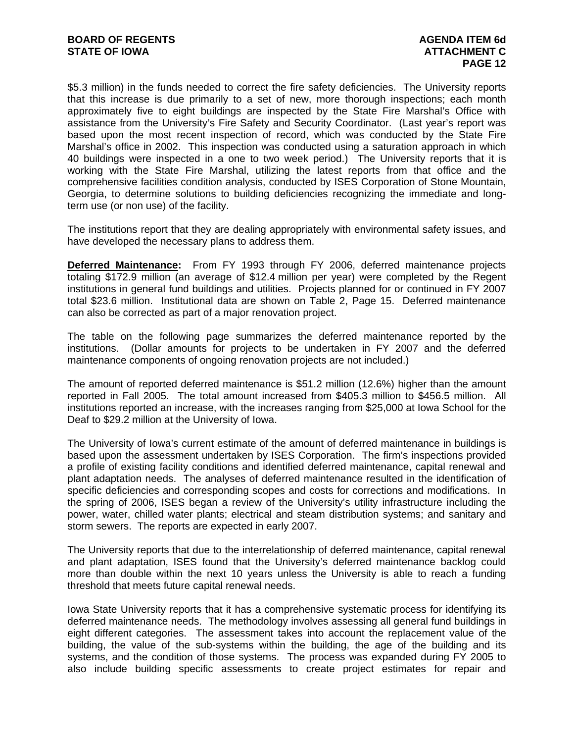\$5.3 million) in the funds needed to correct the fire safety deficiencies. The University reports that this increase is due primarily to a set of new, more thorough inspections; each month approximately five to eight buildings are inspected by the State Fire Marshal's Office with assistance from the University's Fire Safety and Security Coordinator. (Last year's report was based upon the most recent inspection of record, which was conducted by the State Fire Marshal's office in 2002. This inspection was conducted using a saturation approach in which 40 buildings were inspected in a one to two week period.) The University reports that it is working with the State Fire Marshal, utilizing the latest reports from that office and the comprehensive facilities condition analysis, conducted by ISES Corporation of Stone Mountain, Georgia, to determine solutions to building deficiencies recognizing the immediate and longterm use (or non use) of the facility.

The institutions report that they are dealing appropriately with environmental safety issues, and have developed the necessary plans to address them.

**Deferred Maintenance:** From FY 1993 through FY 2006, deferred maintenance projects totaling \$172.9 million (an average of \$12.4 million per year) were completed by the Regent institutions in general fund buildings and utilities. Projects planned for or continued in FY 2007 total \$23.6 million. Institutional data are shown on Table 2, Page 15. Deferred maintenance can also be corrected as part of a major renovation project.

The table on the following page summarizes the deferred maintenance reported by the institutions. (Dollar amounts for projects to be undertaken in FY 2007 and the deferred maintenance components of ongoing renovation projects are not included.)

The amount of reported deferred maintenance is \$51.2 million (12.6%) higher than the amount reported in Fall 2005. The total amount increased from \$405.3 million to \$456.5 million. All institutions reported an increase, with the increases ranging from \$25,000 at Iowa School for the Deaf to \$29.2 million at the University of Iowa.

The University of Iowa's current estimate of the amount of deferred maintenance in buildings is based upon the assessment undertaken by ISES Corporation. The firm's inspections provided a profile of existing facility conditions and identified deferred maintenance, capital renewal and plant adaptation needs. The analyses of deferred maintenance resulted in the identification of specific deficiencies and corresponding scopes and costs for corrections and modifications. In the spring of 2006, ISES began a review of the University's utility infrastructure including the power, water, chilled water plants; electrical and steam distribution systems; and sanitary and storm sewers. The reports are expected in early 2007.

The University reports that due to the interrelationship of deferred maintenance, capital renewal and plant adaptation, ISES found that the University's deferred maintenance backlog could more than double within the next 10 years unless the University is able to reach a funding threshold that meets future capital renewal needs.

Iowa State University reports that it has a comprehensive systematic process for identifying its deferred maintenance needs. The methodology involves assessing all general fund buildings in eight different categories. The assessment takes into account the replacement value of the building, the value of the sub-systems within the building, the age of the building and its systems, and the condition of those systems. The process was expanded during FY 2005 to also include building specific assessments to create project estimates for repair and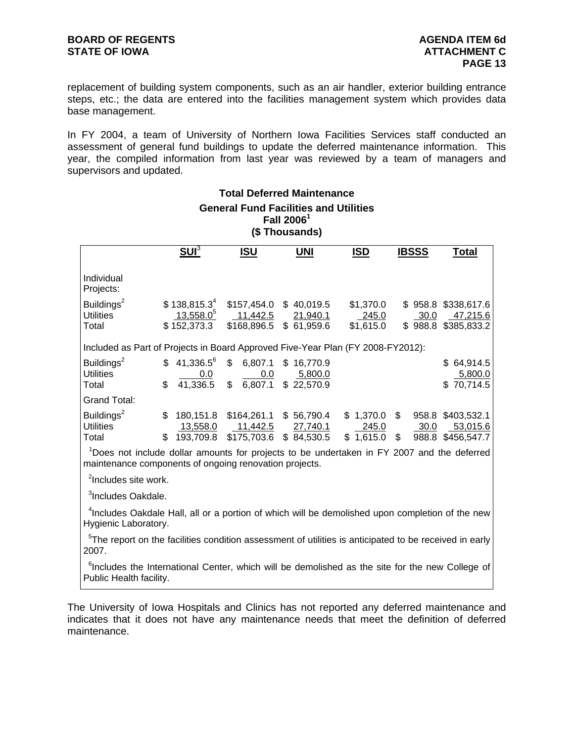replacement of building system components, such as an air handler, exterior building entrance steps, etc.; the data are entered into the facilities management system which provides data base management.

In FY 2004, a team of University of Northern Iowa Facilities Services staff conducted an assessment of general fund buildings to update the deferred maintenance information. This year, the compiled information from last year was reviewed by a team of managers and supervisors and updated.

**Total Deferred Maintenance** 

| <b>General Fund Facilities and Utilities</b><br>Fall $20061$<br>(\$Thousands)                                                                                    |                                                                                 |                                                                               |                                                              |                                                                                                                                                                                                                                                                                                                                                                                                                                                                                                       |              |                                                        |  |  |  |  |  |  |
|------------------------------------------------------------------------------------------------------------------------------------------------------------------|---------------------------------------------------------------------------------|-------------------------------------------------------------------------------|--------------------------------------------------------------|-------------------------------------------------------------------------------------------------------------------------------------------------------------------------------------------------------------------------------------------------------------------------------------------------------------------------------------------------------------------------------------------------------------------------------------------------------------------------------------------------------|--------------|--------------------------------------------------------|--|--|--|--|--|--|
|                                                                                                                                                                  | $SU1^3$                                                                         | <u>ISU</u>                                                                    | <u>UNI</u>                                                   | <b>ISD</b>                                                                                                                                                                                                                                                                                                                                                                                                                                                                                            | <b>IBSSS</b> | <b>Total</b>                                           |  |  |  |  |  |  |
| Individual<br>Projects:                                                                                                                                          |                                                                                 |                                                                               |                                                              |                                                                                                                                                                                                                                                                                                                                                                                                                                                                                                       |              |                                                        |  |  |  |  |  |  |
| Buildings <sup>2</sup><br>Utilities<br>Total                                                                                                                     | $$138,815.3^4$<br>$13,558.0^{5}$<br>\$152,373.3                                 | 11,442.5                                                                      | \$157,454.0 \$40,019.5<br>21,940.1<br>\$168,896.5 \$61,959.6 | \$1,370.0<br>245.0<br>\$1,615.0                                                                                                                                                                                                                                                                                                                                                                                                                                                                       | 30.0         | \$958.8 \$338,617.6<br>47,215.6<br>\$988.8 \$385,833.2 |  |  |  |  |  |  |
|                                                                                                                                                                  | Included as Part of Projects in Board Approved Five-Year Plan (FY 2008-FY2012): |                                                                               |                                                              |                                                                                                                                                                                                                                                                                                                                                                                                                                                                                                       |              |                                                        |  |  |  |  |  |  |
| Buildings <sup>2</sup><br><b>Utilities</b><br>Total                                                                                                              | $$41,336.5^6$<br>41,336.5<br>\$                                                 | \$6,807.1<br>$\frac{0.0}{36.5}$ \$ $\frac{0.0}{6,807.1}$ \$ 22,570.9          | \$16,770.9                                                   |                                                                                                                                                                                                                                                                                                                                                                                                                                                                                                       |              | \$64,914.5<br>5,800.0<br>\$70,714.5                    |  |  |  |  |  |  |
| <b>Grand Total:</b>                                                                                                                                              |                                                                                 |                                                                               |                                                              |                                                                                                                                                                                                                                                                                                                                                                                                                                                                                                       |              |                                                        |  |  |  |  |  |  |
| Buildings <sup>2</sup><br><b>Utilities</b><br>Total                                                                                                              |                                                                                 | $$180,151.8$ $$164,261.1$ $$56,790.4$<br>\$ 193,709.8 \$175,703.6 \$ 84,530.5 |                                                              | $\frac{27,740.1}{84,530.5}$ $\begin{array}{@{}c@{\thinspace}c@{\thinspace}c@{\thinspace}c@{\thinspace}c@{\thinspace}c@{\thinspace}c@{\thinspace}c@{\thinspace}c@{\thinspace}c@{\thinspace}c@{\thinspace}c@{\thinspace}c@{\thinspace}c@{\thinspace}c@{\thinspace}c@{\thinspace}c@{\thinspace}c@{\thinspace}c@{\thinspace}c@{\thinspace}c@{\thinspace}c@{\thinspace}c@{\thinspace}c@{\thinspace}c@{\thinspace}c@{\thinspace}c@{\thinspace}c@{\thinspace}c@{\thinspace}c@{\thinspace}c@{\thinspace}c@{\$ |              | \$1,370.0 \$958.8 \$403,532.1                          |  |  |  |  |  |  |
| <sup>1</sup> Does not include dollar amounts for projects to be undertaken in FY 2007 and the deferred<br>maintenance components of ongoing renovation projects. |                                                                                 |                                                                               |                                                              |                                                                                                                                                                                                                                                                                                                                                                                                                                                                                                       |              |                                                        |  |  |  |  |  |  |
| <sup>2</sup> Includes site work.                                                                                                                                 |                                                                                 |                                                                               |                                                              |                                                                                                                                                                                                                                                                                                                                                                                                                                                                                                       |              |                                                        |  |  |  |  |  |  |
| <sup>3</sup> Includes Oakdale.                                                                                                                                   |                                                                                 |                                                                               |                                                              |                                                                                                                                                                                                                                                                                                                                                                                                                                                                                                       |              |                                                        |  |  |  |  |  |  |
| <sup>4</sup> Includes Oakdale Hall, all or a portion of which will be demolished upon completion of the new<br>Hygienic Laboratory.                              |                                                                                 |                                                                               |                                                              |                                                                                                                                                                                                                                                                                                                                                                                                                                                                                                       |              |                                                        |  |  |  |  |  |  |
| <sup>5</sup> The report on the facilities condition assessment of utilities is anticipated to be received in early<br>2007.                                      |                                                                                 |                                                                               |                                                              |                                                                                                                                                                                                                                                                                                                                                                                                                                                                                                       |              |                                                        |  |  |  |  |  |  |
| <sup>6</sup> Includes the International Center, which will be demolished as the site for the new College of<br>Public Health facility.                           |                                                                                 |                                                                               |                                                              |                                                                                                                                                                                                                                                                                                                                                                                                                                                                                                       |              |                                                        |  |  |  |  |  |  |

The University of Iowa Hospitals and Clinics has not reported any deferred maintenance and indicates that it does not have any maintenance needs that meet the definition of deferred maintenance.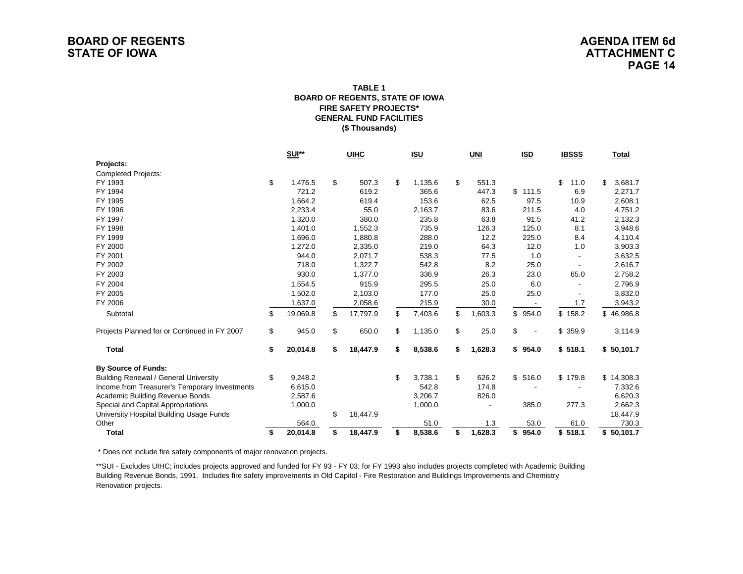#### **FIRE SAFETY PROJECTS\* GENERAL FUND FACILITIES(\$ Thousands) TABLE 1BOARD OF REGENTS, STATE OF IOWA**

|                                               | <b>SUI**</b><br><b>UIHC</b> |          |    | <u>ISU</u> | UNI           | <b>ISD</b>    |    | <b>IBSSS</b>             |         | <b>Total</b> |    |            |
|-----------------------------------------------|-----------------------------|----------|----|------------|---------------|---------------|----|--------------------------|---------|--------------|----|------------|
| Projects:                                     |                             |          |    |            |               |               |    |                          |         |              |    |            |
| <b>Completed Projects:</b>                    |                             |          |    |            |               |               |    |                          |         |              |    |            |
| FY 1993                                       | \$                          | 1,476.5  | \$ | 507.3      | \$<br>1,135.6 | \$<br>551.3   |    |                          | \$      | 11.0         | \$ | 3,681.7    |
| FY 1994                                       |                             | 721.2    |    | 619.2      | 365.6         | 447.3         | \$ | 111.5                    |         | 6.9          |    | 2,271.7    |
| FY 1995                                       |                             | 1,664.2  |    | 619.4      | 153.6         | 62.5          |    | 97.5                     |         | 10.9         |    | 2,608.1    |
| FY 1996                                       |                             | 2,233.4  |    | 55.0       | 2,163.7       | 83.6          |    | 211.5                    |         | 4.0          |    | 4,751.2    |
| FY 1997                                       |                             | 1,320.0  |    | 380.0      | 235.8         | 63.8          |    | 91.5                     |         | 41.2         |    | 2,132.3    |
| FY 1998                                       |                             | 1,401.0  |    | 1,552.3    | 735.9         | 126.3         |    | 125.0                    |         | 8.1          |    | 3,948.6    |
| FY 1999                                       |                             | 1,696.0  |    | 1,880.8    | 288.0         | 12.2          |    | 225.0                    |         | 8.4          |    | 4,110.4    |
| FY 2000                                       |                             | 1,272.0  |    | 2,335.0    | 219.0         | 64.3          |    | 12.0                     |         | 1.0          |    | 3,903.3    |
| FY 2001                                       |                             | 944.0    |    | 2,071.7    | 538.3         | 77.5          |    | 1.0                      |         |              |    | 3,632.5    |
| FY 2002                                       |                             | 718.0    |    | 1,322.7    | 542.8         | 8.2           |    | 25.0                     |         |              |    | 2,616.7    |
| FY 2003                                       |                             | 930.0    |    | 1,377.0    | 336.9         | 26.3          |    | 23.0                     |         | 65.0         |    | 2,758.2    |
| FY 2004                                       |                             | 1,554.5  |    | 915.9      | 295.5         | 25.0          |    | 6.0                      |         |              |    | 2,796.9    |
| FY 2005                                       |                             | 1,502.0  |    | 2,103.0    | 177.0         | 25.0          |    | 25.0                     |         |              |    | 3,832.0    |
| FY 2006                                       |                             | 1,637.0  |    | 2,058.6    | 215.9         | 30.0          |    | $\overline{\phantom{a}}$ |         | 1.7          |    | 3,943.2    |
| Subtotal                                      | \$                          | 19,069.8 | \$ | 17,797.9   | \$<br>7,403.6 | \$<br>1,603.3 | \$ | 954.0                    | \$158.2 |              | \$ | 46,986.8   |
| Projects Planned for or Continued in FY 2007  | \$                          | 945.0    | \$ | 650.0      | \$<br>1,135.0 | \$<br>25.0    | \$ |                          | \$      | 359.9        |    | 3,114.9    |
| <b>Total</b>                                  | \$                          | 20,014.8 | \$ | 18,447.9   | \$<br>8,538.6 | \$<br>1,628.3 | \$ | 954.0                    | \$518.1 |              |    | \$50,101.7 |
| <b>By Source of Funds:</b>                    |                             |          |    |            |               |               |    |                          |         |              |    |            |
| <b>Building Renewal / General University</b>  | \$                          | 9,248.2  |    |            | \$<br>3,738.1 | \$<br>626.2   | \$ | 516.0                    | \$179.8 |              |    | \$14,308.3 |
| Income from Treasurer's Temporary Investments |                             | 6,615.0  |    |            | 542.8         | 174.8         |    |                          |         |              |    | 7,332.6    |
| Academic Building Revenue Bonds               |                             | 2,587.6  |    |            | 3,206.7       | 826.0         |    |                          |         |              |    | 6,620.3    |
| Special and Capital Appropriations            |                             | 1,000.0  |    |            | 1,000.0       |               |    | 385.0                    |         | 277.3        |    | 2,662.3    |
| University Hospital Building Usage Funds      |                             |          | \$ | 18,447.9   |               |               |    |                          |         |              |    | 18,447.9   |
| Other                                         |                             | 564.0    |    |            | 51.0          | 1.3           |    | 53.0                     |         | 61.0         |    | 730.3      |
| <b>Total</b>                                  | \$                          | 20,014.8 | \$ | 18,447.9   | \$<br>8,538.6 | \$<br>1.628.3 | \$ | 954.0                    | \$518.1 |              |    | \$50,101.7 |

\* Does not include fire safety components of major renovation projects.

\*\*SUI - Excludes UIHC; includes projects approved and funded for FY 93 - FY 03; for FY 1993 also includes projects completed with Academic Building Building Revenue Bonds, 1991. Includes fire safety improvements in Old Capitol - Fire Restoration and Buildings Improvements and Chemistry Renovation projects.